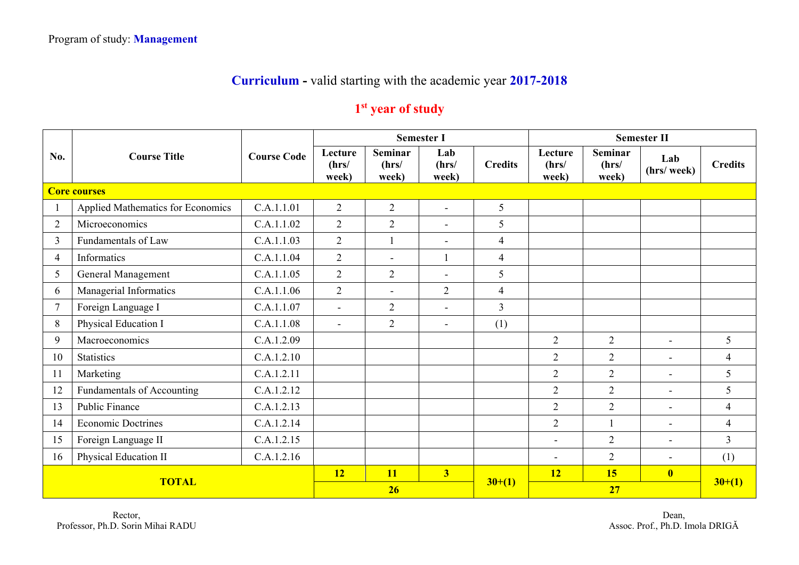## **Curriculum -** valid starting with the academic year **2017-2018**

## **1st year of study**

|                | <b>Course Title</b>               |                    | <b>Semester I</b>         |                                  |                          |                |                           |                                  | <b>Semester II</b>       |                |
|----------------|-----------------------------------|--------------------|---------------------------|----------------------------------|--------------------------|----------------|---------------------------|----------------------------------|--------------------------|----------------|
| No.            |                                   | <b>Course Code</b> | Lecture<br>(hrs/<br>week) | <b>Seminar</b><br>(hrs/<br>week) | Lab<br>(hrs/<br>week)    | <b>Credits</b> | Lecture<br>(hrs/<br>week) | <b>Seminar</b><br>(hrs/<br>week) | Lab<br>(hrs/ week)       | <b>Credits</b> |
|                | <b>Core courses</b>               |                    |                           |                                  |                          |                |                           |                                  |                          |                |
|                | Applied Mathematics for Economics | C.A.1.1.01         | $\overline{2}$            | $\overline{2}$                   | $\sim$                   | 5              |                           |                                  |                          |                |
| $\overline{2}$ | Microeconomics                    | C.A.1.1.02         | $\overline{2}$            | 2                                | $\overline{\phantom{a}}$ | 5              |                           |                                  |                          |                |
| $\overline{3}$ | Fundamentals of Law               | C.A.1.1.03         | $\overline{2}$            | $\overline{1}$                   | $\sim$                   | $\overline{4}$ |                           |                                  |                          |                |
| $\overline{4}$ | Informatics                       | C.A.1.1.04         | $\overline{2}$            | $\blacksquare$                   | 1                        | $\overline{4}$ |                           |                                  |                          |                |
| 5              | General Management                | C.A.1.1.05         | $\overline{2}$            | $\overline{2}$                   | $\overline{\phantom{a}}$ | 5              |                           |                                  |                          |                |
| 6              | Managerial Informatics            | C.A.1.1.06         | $\overline{2}$            | $\sim$                           | 2                        | $\overline{4}$ |                           |                                  |                          |                |
| $\tau$         | Foreign Language I                | C.A.1.1.07         | $\overline{a}$            | $\overline{2}$                   | $\sim$                   | $\overline{3}$ |                           |                                  |                          |                |
| 8              | Physical Education I              | C.A.1.1.08         | $\blacksquare$            | $\overline{2}$                   | $\sim$                   | (1)            |                           |                                  |                          |                |
| 9              | Macroeconomics                    | C.A.1.2.09         |                           |                                  |                          |                | $\overline{2}$            | $\overline{2}$                   | $\sim$                   | 5              |
| 10             | <b>Statistics</b>                 | C.A.1.2.10         |                           |                                  |                          |                | $\overline{2}$            | $\overline{2}$                   | $\overline{\phantom{0}}$ | $\overline{4}$ |
| 11             | Marketing                         | C.A.1.2.11         |                           |                                  |                          |                | $\overline{2}$            | $\overline{2}$                   | $\blacksquare$           | 5              |
| 12             | Fundamentals of Accounting        | C.A.1.2.12         |                           |                                  |                          |                | $\overline{2}$            | $\overline{2}$                   | $\overline{\phantom{a}}$ | 5              |
| 13             | Public Finance                    | C.A.1.2.13         |                           |                                  |                          |                | $\overline{2}$            | $\overline{2}$                   | $\blacksquare$           | $\overline{4}$ |
| 14             | <b>Economic Doctrines</b>         | C.A.1.2.14         |                           |                                  |                          |                | $\overline{2}$            | $\overline{\phantom{a}}$         | $\blacksquare$           | $\overline{4}$ |
| 15             | Foreign Language II               | C.A.1.2.15         |                           |                                  |                          |                | $\qquad \qquad -$         | $\overline{2}$                   | $\overline{\phantom{0}}$ | $\overline{3}$ |
| 16             | Physical Education II             | C.A.1.2.16         |                           |                                  |                          |                | $\overline{\phantom{a}}$  | $\overline{2}$                   | $\blacksquare$           | (1)            |
| <b>TOTAL</b>   |                                   |                    | <b>12</b>                 | <b>11</b>                        | 3 <sup>1</sup>           |                | 12                        | 15                               | $\overline{\mathbf{0}}$  |                |
|                |                                   |                    | 26                        |                                  |                          | $30+(1)$       |                           | $30+(1)$                         |                          |                |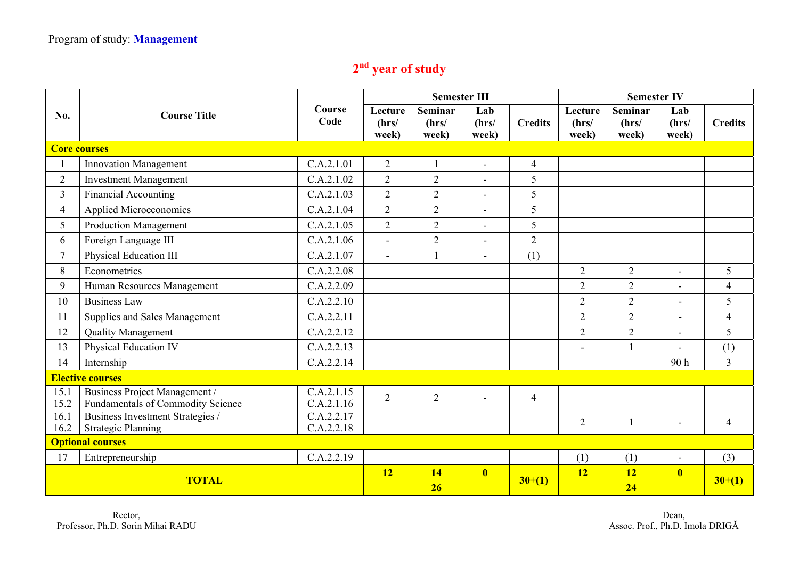## **2nd year of study**

|                         | <b>Course Title</b>                                                | Course<br>Code           |                           | <b>Semester III</b>              |                         |                | <b>Semester IV</b>        |                                  |                         |                |
|-------------------------|--------------------------------------------------------------------|--------------------------|---------------------------|----------------------------------|-------------------------|----------------|---------------------------|----------------------------------|-------------------------|----------------|
| No.                     |                                                                    |                          | Lecture<br>(hrs/<br>week) | <b>Seminar</b><br>(hrs/<br>week) | Lab<br>(hrs/<br>week)   | <b>Credits</b> | Lecture<br>(hrs/<br>week) | <b>Seminar</b><br>(hrs/<br>week) | Lab<br>(hrs/<br>week)   | <b>Credits</b> |
|                         | <b>Core courses</b>                                                |                          |                           |                                  |                         |                |                           |                                  |                         |                |
|                         | <b>Innovation Management</b>                                       | C.A.2.1.01               | $\overline{2}$            |                                  |                         | $\overline{4}$ |                           |                                  |                         |                |
| $\overline{2}$          | <b>Investment Management</b>                                       | C.A.2.1.02               | $\overline{2}$            | $\overline{2}$                   |                         | 5              |                           |                                  |                         |                |
| $\overline{3}$          | <b>Financial Accounting</b>                                        | C.A.2.1.03               | $\overline{2}$            | $\overline{2}$                   | $\blacksquare$          | 5              |                           |                                  |                         |                |
| $\overline{4}$          | <b>Applied Microeconomics</b>                                      | C.A.2.1.04               | $\overline{2}$            | $\overline{2}$                   | $\blacksquare$          | 5              |                           |                                  |                         |                |
| 5                       | <b>Production Management</b>                                       | C.A.2.1.05               | $\overline{2}$            | $\overline{2}$                   | $\blacksquare$          | 5              |                           |                                  |                         |                |
| 6                       | Foreign Language III                                               | C.A.2.1.06               | $\blacksquare$            | $\overline{2}$                   | $\blacksquare$          | $\overline{2}$ |                           |                                  |                         |                |
| $\tau$                  | Physical Education III                                             | C.A.2.1.07               | $\sim$                    | $\mathbf{1}$                     |                         | (1)            |                           |                                  |                         |                |
| 8                       | Econometrics                                                       | C.A.2.2.08               |                           |                                  |                         |                | $\overline{2}$            | $\overline{2}$                   |                         | 5              |
| 9                       | Human Resources Management                                         | C.A.2.2.09               |                           |                                  |                         |                | $\overline{2}$            | $\overline{2}$                   | $\blacksquare$          | $\overline{4}$ |
| 10                      | <b>Business Law</b>                                                | C.A.2.2.10               |                           |                                  |                         |                | $\overline{2}$            | $\overline{2}$                   | $\blacksquare$          | 5              |
| 11                      | Supplies and Sales Management                                      | C.A.2.2.11               |                           |                                  |                         |                | $\overline{2}$            | $\overline{2}$                   | $\overline{a}$          | $\overline{4}$ |
| 12                      | <b>Quality Management</b>                                          | C.A.2.2.12               |                           |                                  |                         |                | $\overline{2}$            | $\overline{2}$                   |                         | 5              |
| 13                      | Physical Education IV                                              | C.A.2.2.13               |                           |                                  |                         |                |                           | $\mathbf{1}$                     |                         | (1)            |
| 14                      | Internship                                                         | C.A.2.2.14               |                           |                                  |                         |                |                           |                                  | 90h                     | $\overline{3}$ |
| <b>Elective courses</b> |                                                                    |                          |                           |                                  |                         |                |                           |                                  |                         |                |
| 15.1<br>15.2            | Business Project Management /<br>Fundamentals of Commodity Science | C.A.2.1.15<br>C.A.2.1.16 | $\overline{2}$            | $\overline{2}$                   |                         | $\overline{4}$ |                           |                                  |                         |                |
| 16.1                    | Business Investment Strategies /                                   | C.A.2.2.17               |                           |                                  |                         |                | $\overline{2}$            | $\mathbf{1}$                     |                         | $\overline{4}$ |
| 16.2                    | <b>Strategic Planning</b>                                          | C.A.2.2.18               |                           |                                  |                         |                |                           |                                  |                         |                |
| <b>Optional courses</b> |                                                                    |                          |                           |                                  |                         |                |                           |                                  |                         |                |
| 17                      | Entrepreneurship                                                   | C.A.2.2.19               |                           |                                  |                         |                | (1)                       | (1)                              | $\blacksquare$          | (3)            |
| <b>TOTAL</b>            |                                                                    |                          | 12                        | <b>14</b>                        | $\overline{\mathbf{0}}$ | $30+(1)$       | 12                        | <b>12</b>                        | $\overline{\mathbf{0}}$ | $30+(1)$       |
|                         |                                                                    |                          | 26                        |                                  |                         |                | 24                        |                                  |                         |                |